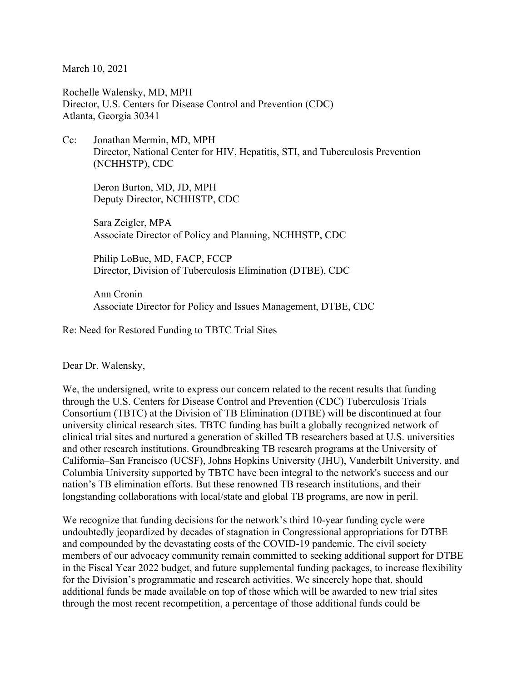March 10, 2021

Rochelle Walensky, MD, MPH Director, U.S. Centers for Disease Control and Prevention (CDC) Atlanta, Georgia 30341

Cc: Jonathan Mermin, MD, MPH Director, National Center for HIV, Hepatitis, STI, and Tuberculosis Prevention (NCHHSTP), CDC

Deron Burton, MD, JD, MPH Deputy Director, NCHHSTP, CDC

Sara Zeigler, MPA Associate Director of Policy and Planning, NCHHSTP, CDC

Philip LoBue, MD, FACP, FCCP Director, Division of Tuberculosis Elimination (DTBE), CDC

Ann Cronin Associate Director for Policy and Issues Management, DTBE, CDC

Re: Need for Restored Funding to TBTC Trial Sites

Dear Dr. Walensky,

We, the undersigned, write to express our concern related to the recent results that funding through the U.S. Centers for Disease Control and Prevention (CDC) Tuberculosis Trials Consortium (TBTC) at the Division of TB Elimination (DTBE) will be discontinued at four university clinical research sites. TBTC funding has built a globally recognized network of clinical trial sites and nurtured a generation of skilled TB researchers based at U.S. universities and other research institutions. Groundbreaking TB research programs at the University of California–San Francisco (UCSF), Johns Hopkins University (JHU), Vanderbilt University, and Columbia University supported by TBTC have been integral to the network's success and our nation's TB elimination efforts. But these renowned TB research institutions, and their longstanding collaborations with local/state and global TB programs, are now in peril.

We recognize that funding decisions for the network's third 10-year funding cycle were undoubtedly jeopardized by decades of stagnation in Congressional appropriations for DTBE and compounded by the devastating costs of the COVID-19 pandemic. The civil society members of our advocacy community remain committed to seeking additional support for DTBE in the Fiscal Year 2022 budget, and future supplemental funding packages, to increase flexibility for the Division's programmatic and research activities. We sincerely hope that, should additional funds be made available on top of those which will be awarded to new trial sites through the most recent recompetition, a percentage of those additional funds could be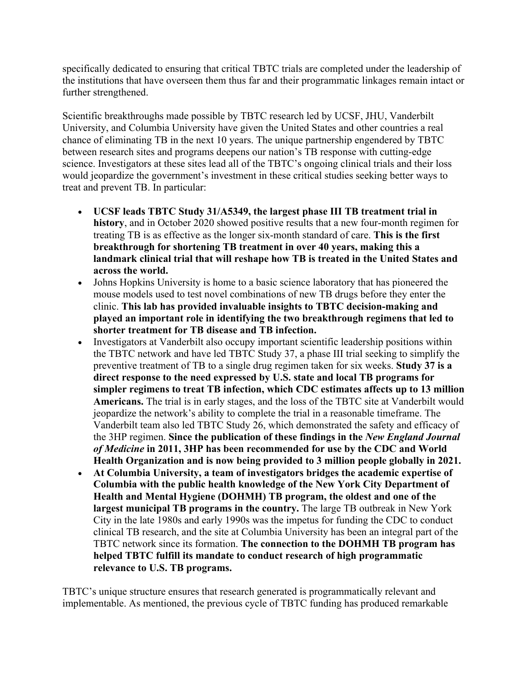specifically dedicated to ensuring that critical TBTC trials are completed under the leadership of the institutions that have overseen them thus far and their programmatic linkages remain intact or further strengthened.

Scientific breakthroughs made possible by TBTC research led by UCSF, JHU, Vanderbilt University, and Columbia University have given the United States and other countries a real chance of eliminating TB in the next 10 years. The unique partnership engendered by TBTC between research sites and programs deepens our nation's TB response with cutting-edge science. Investigators at these sites lead all of the TBTC's ongoing clinical trials and their loss would jeopardize the government's investment in these critical studies seeking better ways to treat and prevent TB. In particular:

- **UCSF leads TBTC Study 31/A5349, the largest phase III TB treatment trial in history**, and in October 2020 showed positive results that a new four-month regimen for treating TB is as effective as the longer six-month standard of care. **This is the first breakthrough for shortening TB treatment in over 40 years, making this a landmark clinical trial that will reshape how TB is treated in the United States and across the world.**
- Johns Hopkins University is home to a basic science laboratory that has pioneered the mouse models used to test novel combinations of new TB drugs before they enter the clinic. **This lab has provided invaluable insights to TBTC decision-making and played an important role in identifying the two breakthrough regimens that led to shorter treatment for TB disease and TB infection.**
- Investigators at Vanderbilt also occupy important scientific leadership positions within the TBTC network and have led TBTC Study 37, a phase III trial seeking to simplify the preventive treatment of TB to a single drug regimen taken for six weeks. **Study 37 is a direct response to the need expressed by U.S. state and local TB programs for simpler regimens to treat TB infection, which CDC estimates affects up to 13 million Americans.** The trial is in early stages, and the loss of the TBTC site at Vanderbilt would jeopardize the network's ability to complete the trial in a reasonable timeframe. The Vanderbilt team also led TBTC Study 26, which demonstrated the safety and efficacy of the 3HP regimen. **Since the publication of these findings in the** *New England Journal of Medicine* **in 2011, 3HP has been recommended for use by the CDC and World Health Organization and is now being provided to 3 million people globally in 2021.**
- **At Columbia University, a team of investigators bridges the academic expertise of Columbia with the public health knowledge of the New York City Department of Health and Mental Hygiene (DOHMH) TB program, the oldest and one of the largest municipal TB programs in the country.** The large TB outbreak in New York City in the late 1980s and early 1990s was the impetus for funding the CDC to conduct clinical TB research, and the site at Columbia University has been an integral part of the TBTC network since its formation. **The connection to the DOHMH TB program has helped TBTC fulfill its mandate to conduct research of high programmatic relevance to U.S. TB programs.**

TBTC's unique structure ensures that research generated is programmatically relevant and implementable. As mentioned, the previous cycle of TBTC funding has produced remarkable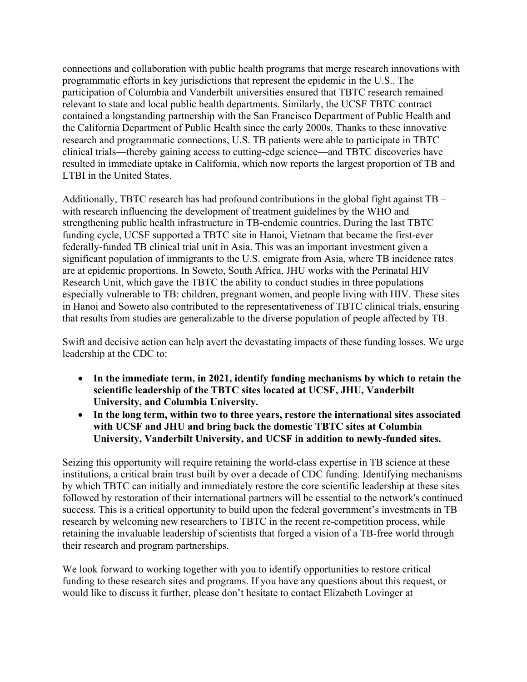connections and collaboration with public health programs that merge research innovations with programmatic efforts in key jurisdictions that represent the epidemic in the U.S.. The participation of Columbia and Vanderbilt universities ensured that TBTC research remained relevant to state and local public health departments. Similarly, the UCSF TBTC contract contained a longstanding partnership with the San Francisco Department of Public Health and the California Department of Public Health since the early 2000s. Thanks to these innovative research and programmatic connections, U.S. TB patients were able to participate in TBTC clinical trials—thereby gaining access to cutting-edge science—and TBTC discoveries have resulted in immediate uptake in California, which now reports the largest proportion of TB and LTBI in the United States.

Additionally, TBTC research has had profound contributions in the global fight against TB – with research influencing the development of treatment guidelines by the WHO and strengthening public health infrastructure in TB-endemic countries. During the last TBTC funding cycle, UCSF supported a TBTC site in Hanoi, Vietnam that became the first-ever federally-funded TB clinical trial unit in Asia. This was an important investment given a significant population of immigrants to the U.S. emigrate from Asia, where TB incidence rates are at epidemic proportions. In Soweto, South Africa, JHU works with the Perinatal HIV Research Unit, which gave the TBTC the ability to conduct studies in three populations especially vulnerable to TB: children, pregnant women, and people living with HIV. These sites in Hanoi and Soweto also contributed to the representativeness of TBTC clinical trials, ensuring that results from studies are generalizable to the diverse population of people affected by TB.

Swift and decisive action can help avert the devastating impacts of these funding losses. We urge leadership at the CDC to:

- **In the immediate term, in 2021, identify funding mechanisms by which to retain the scientific leadership of the TBTC sites located at UCSF, JHU, Vanderbilt University, and Columbia University.**
- **In the long term, within two to three years, restore the international sites associated with UCSF and JHU and bring back the domestic TBTC sites at Columbia University, Vanderbilt University, and UCSF in addition to newly-funded sites.**

Seizing this opportunity will require retaining the world-class expertise in TB science at these institutions, a critical brain trust built by over a decade of CDC funding. Identifying mechanisms by which TBTC can initially and immediately restore the core scientific leadership at these sites followed by restoration of their international partners will be essential to the network's continued success. This is a critical opportunity to build upon the federal government's investments in TB research by welcoming new researchers to TBTC in the recent re-competition process, while retaining the invaluable leadership of scientists that forged a vision of a TB-free world through their research and program partnerships.

We look forward to working together with you to identify opportunities to restore critical funding to these research sites and programs. If you have any questions about this request, or would like to discuss it further, please don't hesitate to contact Elizabeth Lovinger at